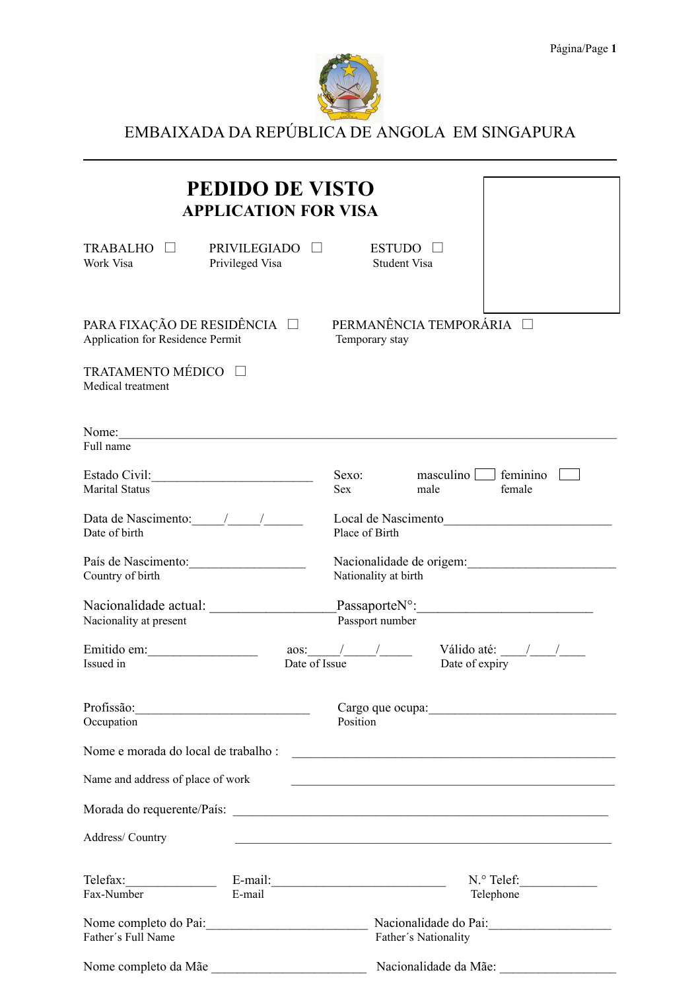

# EMBAIXADA DA REPÚBLICA DE ANGOLA EM SINGAPURA

|                                                                                                                      | <b>PEDIDO DE VISTO</b><br><b>APPLICATION FOR VISA</b> |                                                         |
|----------------------------------------------------------------------------------------------------------------------|-------------------------------------------------------|---------------------------------------------------------|
| TRABALHO $\Box$<br>Work Visa                                                                                         | PRIVILEGIADO □<br>Privileged Visa                     | ESTUDO $\Box$<br>Student Visa                           |
| PARA FIXAÇÃO DE RESIDÊNCIA $\square$<br>Application for Residence Permit<br>TRATAMENTO MÉDICO □<br>Medical treatment |                                                       | PERMANÊNCIA TEMPORÁRIA<br>Temporary stay                |
| Nome:<br>Full name                                                                                                   |                                                       |                                                         |
| <b>Marital Status</b>                                                                                                |                                                       | maxculino<br>feminino<br>Sexo:<br>Sex<br>male<br>female |
| Date of birth                                                                                                        |                                                       | Local de Nascimento<br>Place of Birth                   |
| País de Nascimento:<br>Country of birth                                                                              |                                                       | Nacionalidade de origem:<br>Nationality at birth        |
| Nacionalidade actual:<br>Nacionality at present                                                                      |                                                       | $PassaporteNo$ :<br>Passport number                     |
| Emitido em:<br>Issued in                                                                                             | Date of Issue                                         | Válido até: $\frac{\sqrt{2}}{2}$<br>Date of expiry      |
| Profissão:<br>Occupation                                                                                             |                                                       | Position                                                |
| Nome e morada do local de trabalho :                                                                                 |                                                       |                                                         |
| Name and address of place of work                                                                                    |                                                       |                                                         |
|                                                                                                                      |                                                       |                                                         |
| Address/Country                                                                                                      |                                                       |                                                         |
| Telefax:<br>Fax-Number                                                                                               | E-mail                                                | Telephone                                               |
| Father's Full Name                                                                                                   |                                                       | Nacionalidade do Pai:<br>Father's Nationality           |
| Nome completo da Mãe                                                                                                 |                                                       | Nacionalidade da Mãe:                                   |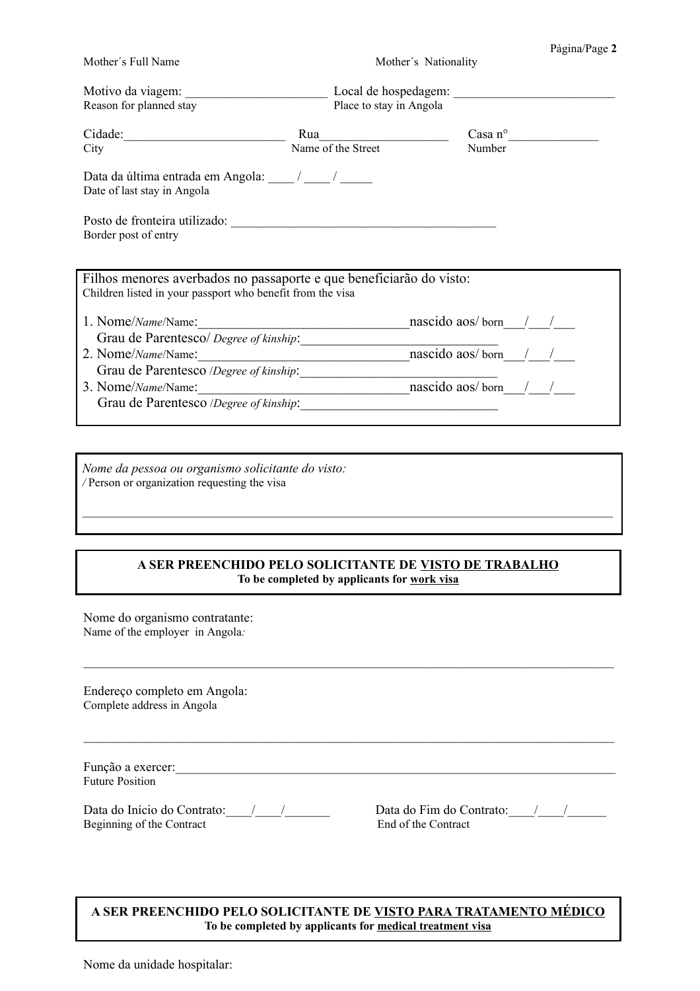| Mother's Full Name                                                                                                                |                         | Mother's Nationality |                  |
|-----------------------------------------------------------------------------------------------------------------------------------|-------------------------|----------------------|------------------|
| Reason for planned stay                                                                                                           | Place to stay in Angola |                      |                  |
| Cidade:                                                                                                                           |                         |                      | $\text{Casa}$ n° |
| City                                                                                                                              | Name of the Street      | Number               |                  |
| Data da última entrada em Angola: / __/ __/<br>Date of last stay in Angola                                                        |                         |                      |                  |
| Border post of entry                                                                                                              |                         |                      |                  |
| Filhos menores averbados no passaporte e que beneficiarão do visto:<br>Children listed in your passport who benefit from the visa |                         |                      |                  |
| 1. Nome/Name/Name: nascido aos/born / /                                                                                           |                         |                      |                  |
|                                                                                                                                   |                         |                      |                  |
| 2. Nome/Name/Name: nascido aos/born / /                                                                                           |                         |                      |                  |
|                                                                                                                                   |                         |                      |                  |
| 3. Nome/Name/Name: nascido aos/born / /                                                                                           |                         |                      |                  |
| Grau de Parentesco /Degree of kinship:                                                                                            |                         |                      |                  |
|                                                                                                                                   |                         |                      |                  |

*Nome da pessoa ou organismo solicitante do visto: /* Person or organization requesting the visa

## **A SER PREENCHIDO PELO SOLICITANTE DE VISTO DE TRABALHO To be completed by applicants for work visa**

 $\mathcal{L}_\mathcal{L} = \{ \mathcal{L}_\mathcal{L} = \{ \mathcal{L}_\mathcal{L} = \{ \mathcal{L}_\mathcal{L} = \{ \mathcal{L}_\mathcal{L} = \{ \mathcal{L}_\mathcal{L} = \{ \mathcal{L}_\mathcal{L} = \{ \mathcal{L}_\mathcal{L} = \{ \mathcal{L}_\mathcal{L} = \{ \mathcal{L}_\mathcal{L} = \{ \mathcal{L}_\mathcal{L} = \{ \mathcal{L}_\mathcal{L} = \{ \mathcal{L}_\mathcal{L} = \{ \mathcal{L}_\mathcal{L} = \{ \mathcal{L}_\mathcal{$ 

 $\mathcal{L}_\mathcal{L} = \{ \mathcal{L}_\mathcal{L} = \{ \mathcal{L}_\mathcal{L} = \{ \mathcal{L}_\mathcal{L} = \{ \mathcal{L}_\mathcal{L} = \{ \mathcal{L}_\mathcal{L} = \{ \mathcal{L}_\mathcal{L} = \{ \mathcal{L}_\mathcal{L} = \{ \mathcal{L}_\mathcal{L} = \{ \mathcal{L}_\mathcal{L} = \{ \mathcal{L}_\mathcal{L} = \{ \mathcal{L}_\mathcal{L} = \{ \mathcal{L}_\mathcal{L} = \{ \mathcal{L}_\mathcal{L} = \{ \mathcal{L}_\mathcal{$ 

Nome do organismo contratante: Name of the employer in Angola*:*

Endereço completo em Angola: Complete address in Angola

| Função a exercer:      |  |  |
|------------------------|--|--|
| <b>Future Position</b> |  |  |

Data do Início do Contrato:\_\_\_\_/\_\_\_\_/\_\_\_\_\_\_\_ Data do Fim do Contrato:\_\_\_\_/\_\_\_\_/\_\_\_\_\_\_ Beginning of the Contract End of the Contract

Página/Page **2**

#### **A SER PREENCHIDO PELO SOLICITANTE DE VISTO PARA TRATAMENTO MÉDICO To be completed by applicants for medical treatment visa**

Nome da unidade hospitalar: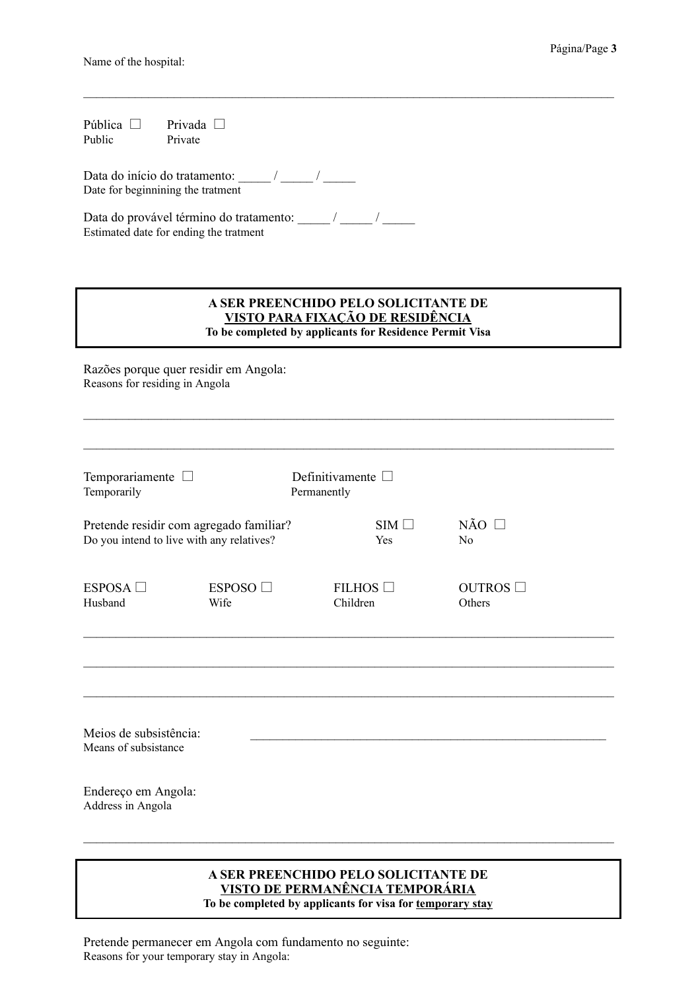Name of the hospital:

Pública  $\Box$  Privada  $\Box$ <br>Public Private Public

Data do início do tratamento:  $\frac{1}{2}$  / Date for beginnining the tratment

Data do provável término do tratamento: \_\_\_\_\_\_ / \_\_\_\_\_\_ / Estimated date for ending the tratment

#### **A SER PREENCHIDO PELO SOLICITANTE DE VISTO PARA FIXAÇÃO DE RESIDÊNCIA To be completed by applicants for Residence Permit Visa**

 $\_$ 

 $\mathcal{L}_\mathcal{L} = \{ \mathcal{L}_\mathcal{L} = \{ \mathcal{L}_\mathcal{L} = \{ \mathcal{L}_\mathcal{L} = \{ \mathcal{L}_\mathcal{L} = \{ \mathcal{L}_\mathcal{L} = \{ \mathcal{L}_\mathcal{L} = \{ \mathcal{L}_\mathcal{L} = \{ \mathcal{L}_\mathcal{L} = \{ \mathcal{L}_\mathcal{L} = \{ \mathcal{L}_\mathcal{L} = \{ \mathcal{L}_\mathcal{L} = \{ \mathcal{L}_\mathcal{L} = \{ \mathcal{L}_\mathcal{L} = \{ \mathcal{L}_\mathcal{$ 

 $\mathcal{L}_\mathcal{L} = \{ \mathcal{L}_\mathcal{L} = \{ \mathcal{L}_\mathcal{L} = \{ \mathcal{L}_\mathcal{L} = \{ \mathcal{L}_\mathcal{L} = \{ \mathcal{L}_\mathcal{L} = \{ \mathcal{L}_\mathcal{L} = \{ \mathcal{L}_\mathcal{L} = \{ \mathcal{L}_\mathcal{L} = \{ \mathcal{L}_\mathcal{L} = \{ \mathcal{L}_\mathcal{L} = \{ \mathcal{L}_\mathcal{L} = \{ \mathcal{L}_\mathcal{L} = \{ \mathcal{L}_\mathcal{L} = \{ \mathcal{L}_\mathcal{$ 

Razões porque quer residir em Angola: Reasons for residing in Angola

| Temporariamente $\square$<br>Temporarily                                             |                          | Definitivamente $\square$<br>Permanently |                   |                                           |
|--------------------------------------------------------------------------------------|--------------------------|------------------------------------------|-------------------|-------------------------------------------|
| Pretende residir com agregado familiar?<br>Do you intend to live with any relatives? |                          |                                          | $SIM \Box$<br>Yes | $N\tilde{A}O$ $\square$<br>N <sub>0</sub> |
| ESPOSA $\square$<br>Husband                                                          | ESPOSO $\square$<br>Wife | FILHOS $\Box$<br>Children                |                   | OUTROS $\Box$<br>Others                   |
|                                                                                      |                          |                                          |                   |                                           |
| Meios de subsistência:<br>Means of subsistance                                       |                          |                                          |                   |                                           |
| Endereço em Angola:<br>Address in Angola                                             |                          |                                          |                   |                                           |
|                                                                                      |                          |                                          |                   |                                           |

#### **A SER PREENCHIDO PELO SOLICITANTE DE VISTO DE PERMANÊNCIA TEMPORÁRIA To be completed by applicants for visa for temporary stay**

Pretende permanecer em Angola com fundamento no seguinte: Reasons for your temporary stay in Angola: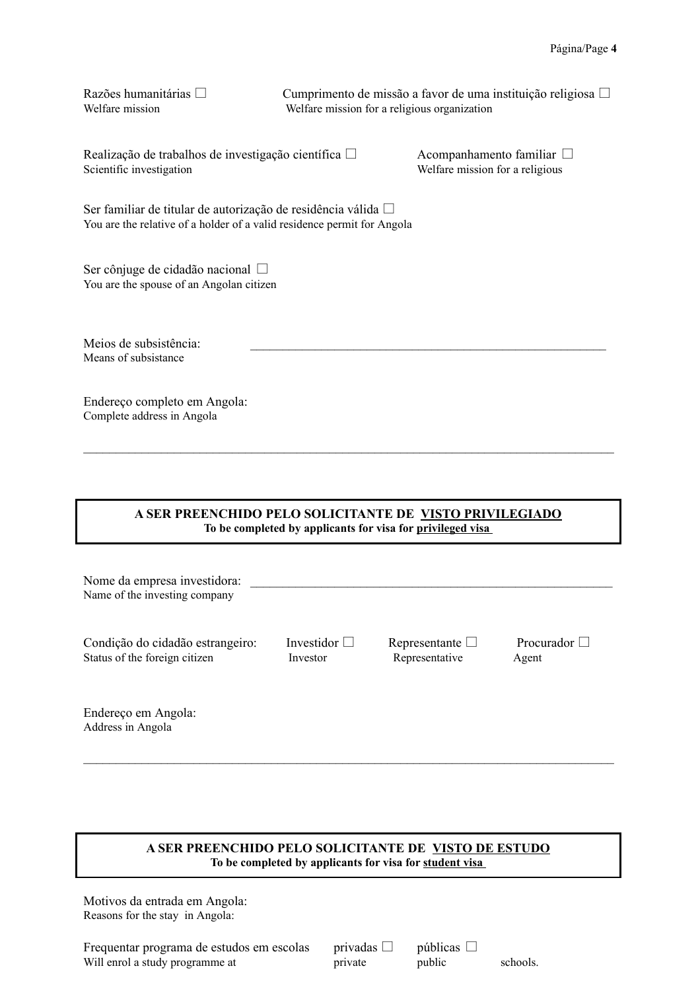Razões humanitárias  $\square$  Cumprimento de missão a favor de uma instituição religiosa  $\square$ Welfare mission Welfare mission for a religious organization

Realização de trabalhos de investigação científica  $\Box$ <br>Scientífic investigation Welfare mission for a religious

Welfare mission for a religious

Ser familiar de titular de autorização de residência válida  $\square$ You are the relative of a holder of a valid residence permit for Angola

Ser cônjuge de cidadão nacional You are the spouse of an Angolan citizen

Meios de subsistência: Means of subsistance

Endereço completo em Angola: Complete address in Angola

## **A SER PREENCHIDO PELO SOLICITANTE DE VISTO PRIVILEGIADO To be completed by applicants for visa for privileged visa**

 $\_$ 

| Nome da empresa investidora:<br>Name of the investing company     |                               |                                        |                            |
|-------------------------------------------------------------------|-------------------------------|----------------------------------------|----------------------------|
| Condição do cidadão estrangeiro:<br>Status of the foreign citizen | Investidor $\Box$<br>Investor | Representante $\Box$<br>Representative | Procurador $\Box$<br>Agent |
| Endereço em Angola:<br>Address in Angola                          |                               |                                        |                            |

## **A SER PREENCHIDO PELO SOLICITANTE DE VISTO DE ESTUDO To be completed by applicants for visa for student visa**

 $\_$ 

Motivos da entrada em Angola: Reasons for the stay in Angola:

Frequentar programa de estudos em escolas privadas  $\Box$  públicas  $\Box$ Will enrol a study programme at private public schools.

| ivadas |  |
|--------|--|
| 'ivate |  |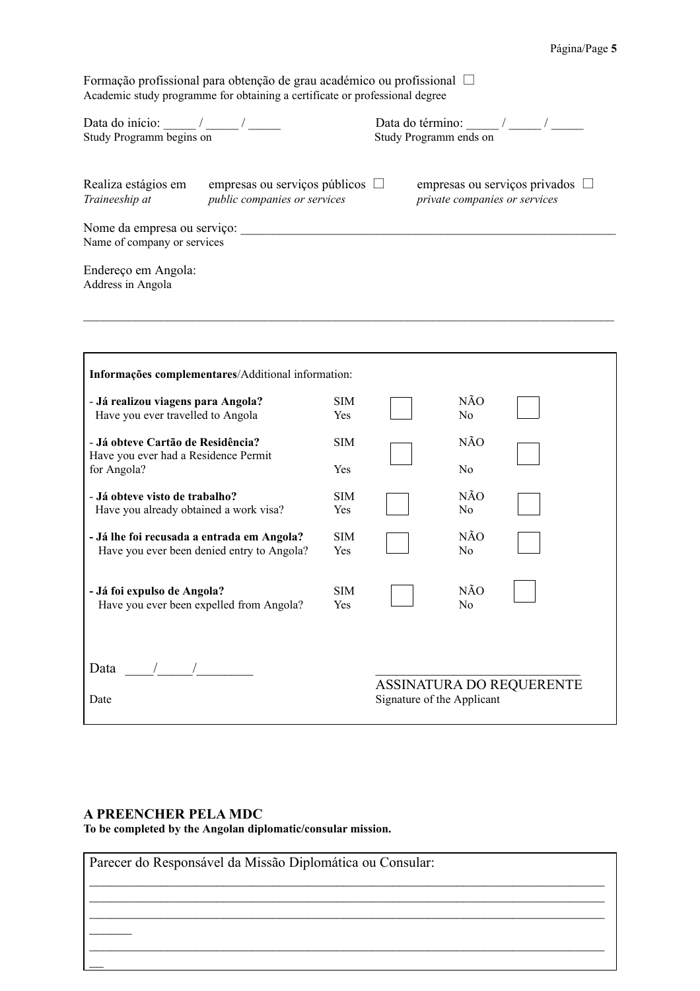Formação profissional para obtenção de grau académico ou profissional Academic study programme for obtaining a certificate or professional degree

| Data do início:<br>Study Programm begins on                |                                                                      | Data do término:<br>Study Programm ends on                            |
|------------------------------------------------------------|----------------------------------------------------------------------|-----------------------------------------------------------------------|
| Realiza estágios em<br>Traineeship at                      | empresas ou serviços públicos $\Box$<br>public companies or services | empresas ou serviços privados $\Box$<br>private companies or services |
| Nome da empresa ou serviço:<br>Name of company or services |                                                                      |                                                                       |
| Endereço em Angola:<br>Address in Angola                   |                                                                      |                                                                       |

| - Já realizou viagens para Angola?                                                       | <b>SIM</b>        |                            | NÃO                   |                                 |
|------------------------------------------------------------------------------------------|-------------------|----------------------------|-----------------------|---------------------------------|
| Have you ever travelled to Angola                                                        | Yes               |                            | N <sub>0</sub>        |                                 |
| - Já obteve Cartão de Residência?<br>Have you ever had a Residence Permit                | <b>SIM</b>        |                            | NÃO                   |                                 |
| for Angola?                                                                              | Yes               |                            | N <sub>0</sub>        |                                 |
| - Já obteve visto de trabalho?<br>Have you already obtained a work visa?                 | <b>SIM</b><br>Yes |                            | NÃO<br>N <sub>0</sub> |                                 |
| - Já lhe foi recusada a entrada em Angola?<br>Have you ever been denied entry to Angola? | <b>SIM</b><br>Yes |                            | NÃO<br>N <sub>0</sub> |                                 |
| - Já foi expulso de Angola?<br>Have you ever been expelled from Angola?                  | <b>SIM</b><br>Yes |                            | NÃO<br>N <sub>0</sub> |                                 |
| Data                                                                                     |                   |                            |                       |                                 |
| Date                                                                                     |                   | Signature of the Applicant |                       | <b>ASSINATURA DO REQUERENTE</b> |

## **A PREENCHER PELA MDC**

**To be completed by the Angolan diplomatic/consular mission.**

| Parecer do Responsável da Missão Diplomática ou Consular: |  |
|-----------------------------------------------------------|--|
|                                                           |  |
|                                                           |  |
|                                                           |  |
|                                                           |  |